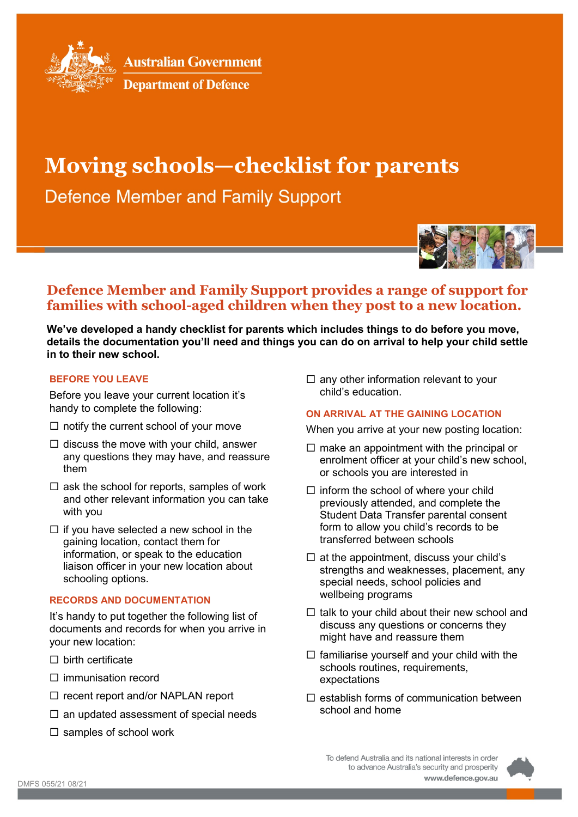

**Australian Government** 



# **Moving schools—checklist for parents**

**Defence Member and Family Support** 



# **Defence Member and Family Support provides a range of support for families with school-aged children when they post to a new location.**

**We've developed a handy checklist for parents which includes things to do before you move, details the documentation you'll need and things you can do on arrival to help your child settle in to their new school.**

## **BEFORE YOU LEAVE**

Before you leave your current location it's handy to complete the following:

- $\Box$  notify the current school of your move
- $\Box$  discuss the move with your child, answer any questions they may have, and reassure them
- $\Box$  ask the school for reports, samples of work and other relevant information you can take with you
- $\Box$  if you have selected a new school in the gaining location, contact them for information, or speak to the education liaison officer in your new location about schooling options.

# **RECORDS AND DOCUMENTATION**

It's handy to put together the following list of documents and records for when you arrive in your new location:

- $\square$  birth certificate
- $\Box$  immunisation record
- $\Box$  recent report and/or NAPLAN report
- $\square$  an updated assessment of special needs
- $\square$  samples of school work

 $\square$  any other information relevant to your child's education.

#### **ON ARRIVAL AT THE GAINING LOCATION**

When you arrive at your new posting location:

- $\Box$  make an appointment with the principal or enrolment officer at your child's new school, or schools you are interested in
- $\Box$  inform the school of where your child previously attended, and complete the Student Data Transfer parental consent form to allow you child's records to be transferred between schools
- $\Box$  at the appointment, discuss your child's strengths and weaknesses, placement, any special needs, school policies and wellbeing programs
- $\Box$  talk to your child about their new school and discuss any questions or concerns they might have and reassure them
- $\Box$  familiarise yourself and your child with the schools routines, requirements, expectations
- $\Box$  establish forms of communication between school and home